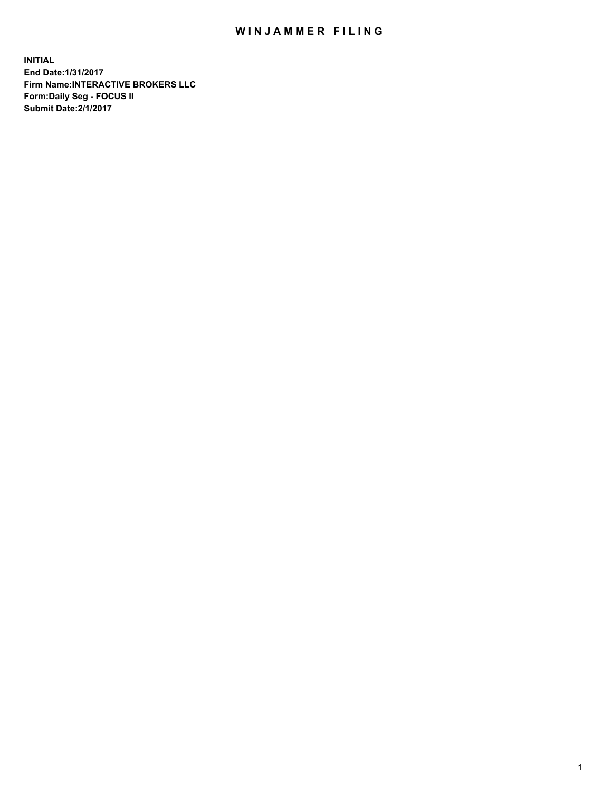## WIN JAMMER FILING

**INITIAL End Date:1/31/2017 Firm Name:INTERACTIVE BROKERS LLC Form:Daily Seg - FOCUS II Submit Date:2/1/2017**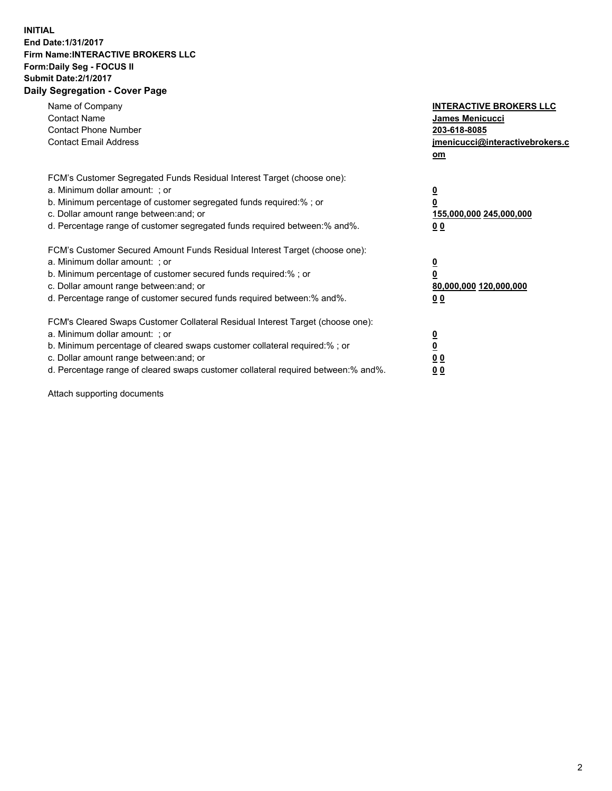## **INITIAL End Date:1/31/2017 Firm Name:INTERACTIVE BROKERS LLC Form:Daily Seg - FOCUS II Submit Date:2/1/2017 Daily Segregation - Cover Page**

| Name of Company<br><b>Contact Name</b><br><b>Contact Phone Number</b><br><b>Contact Email Address</b>                                                                                                                                                                                                                          | <b>INTERACTIVE BROKERS LLC</b><br><b>James Menicucci</b><br>203-618-8085<br>jmenicucci@interactivebrokers.c<br>om |
|--------------------------------------------------------------------------------------------------------------------------------------------------------------------------------------------------------------------------------------------------------------------------------------------------------------------------------|-------------------------------------------------------------------------------------------------------------------|
| FCM's Customer Segregated Funds Residual Interest Target (choose one):<br>a. Minimum dollar amount: ; or<br>b. Minimum percentage of customer segregated funds required:% ; or<br>c. Dollar amount range between: and; or<br>d. Percentage range of customer segregated funds required between:% and%.                         | <u>0</u><br>0<br>155,000,000 245,000,000<br>0 <sub>0</sub>                                                        |
| FCM's Customer Secured Amount Funds Residual Interest Target (choose one):<br>a. Minimum dollar amount: ; or<br>b. Minimum percentage of customer secured funds required:% ; or<br>c. Dollar amount range between: and; or<br>d. Percentage range of customer secured funds required between: % and %.                         | $\underline{\mathbf{0}}$<br>0<br>80,000,000 120,000,000<br>00                                                     |
| FCM's Cleared Swaps Customer Collateral Residual Interest Target (choose one):<br>a. Minimum dollar amount: ; or<br>b. Minimum percentage of cleared swaps customer collateral required:% ; or<br>c. Dollar amount range between: and; or<br>d. Percentage range of cleared swaps customer collateral required between:% and%. | $\overline{\mathbf{0}}$<br>$\overline{\mathbf{0}}$<br>0 <sub>0</sub><br>00                                        |

Attach supporting documents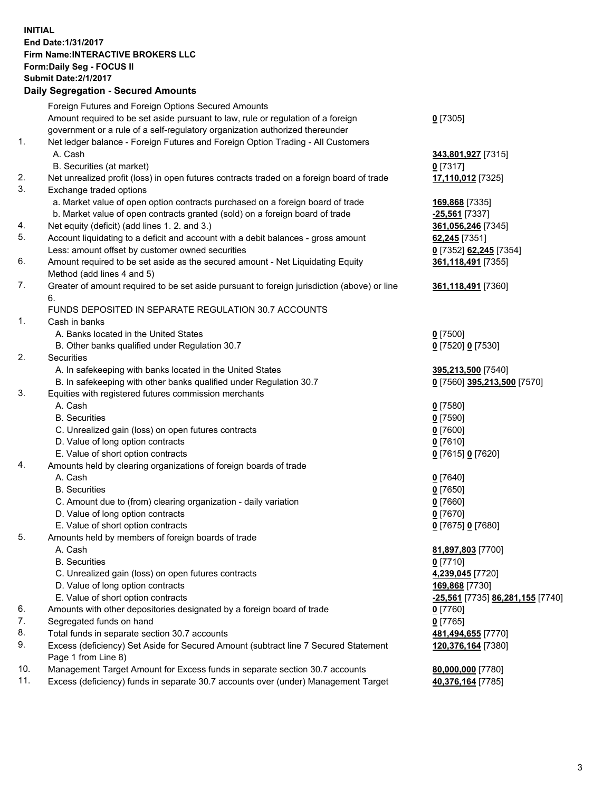## **INITIAL End Date:1/31/2017 Firm Name:INTERACTIVE BROKERS LLC Form:Daily Seg - FOCUS II Submit Date:2/1/2017 Daily Segregation - Secured Amounts**

|     | Daily Ocglegation - Occuled Amounts                                                         |                                  |
|-----|---------------------------------------------------------------------------------------------|----------------------------------|
|     | Foreign Futures and Foreign Options Secured Amounts                                         |                                  |
|     | Amount required to be set aside pursuant to law, rule or regulation of a foreign            | $0$ [7305]                       |
|     | government or a rule of a self-regulatory organization authorized thereunder                |                                  |
| 1.  | Net ledger balance - Foreign Futures and Foreign Option Trading - All Customers             |                                  |
|     | A. Cash                                                                                     | 343,801,927 [7315]               |
|     | B. Securities (at market)                                                                   | $0$ [7317]                       |
| 2.  | Net unrealized profit (loss) in open futures contracts traded on a foreign board of trade   | 17,110,012 [7325]                |
| 3.  | Exchange traded options                                                                     |                                  |
|     | a. Market value of open option contracts purchased on a foreign board of trade              | 169,868 [7335]                   |
|     | b. Market value of open contracts granted (sold) on a foreign board of trade                | $-25,561$ [7337]                 |
| 4.  | Net equity (deficit) (add lines 1. 2. and 3.)                                               | 361,056,246 [7345]               |
| 5.  | Account liquidating to a deficit and account with a debit balances - gross amount           | 62,245 [7351]                    |
|     | Less: amount offset by customer owned securities                                            | 0 [7352] 62,245 [7354]           |
| 6.  | Amount required to be set aside as the secured amount - Net Liquidating Equity              |                                  |
|     |                                                                                             | 361,118,491 [7355]               |
| 7.  | Method (add lines 4 and 5)                                                                  |                                  |
|     | Greater of amount required to be set aside pursuant to foreign jurisdiction (above) or line | 361,118,491 [7360]               |
|     | 6.                                                                                          |                                  |
|     | FUNDS DEPOSITED IN SEPARATE REGULATION 30.7 ACCOUNTS                                        |                                  |
| 1.  | Cash in banks                                                                               |                                  |
|     | A. Banks located in the United States                                                       | $0$ [7500]                       |
|     | B. Other banks qualified under Regulation 30.7                                              | 0 [7520] 0 [7530]                |
| 2.  | Securities                                                                                  |                                  |
|     | A. In safekeeping with banks located in the United States                                   | 395,213,500 [7540]               |
|     | B. In safekeeping with other banks qualified under Regulation 30.7                          | 0 [7560] 395,213,500 [7570]      |
| 3.  | Equities with registered futures commission merchants                                       |                                  |
|     | A. Cash                                                                                     | $0$ [7580]                       |
|     | <b>B.</b> Securities                                                                        | $0$ [7590]                       |
|     | C. Unrealized gain (loss) on open futures contracts                                         | $0$ [7600]                       |
|     | D. Value of long option contracts                                                           | $0$ [7610]                       |
|     | E. Value of short option contracts                                                          | 0 [7615] 0 [7620]                |
| 4.  | Amounts held by clearing organizations of foreign boards of trade                           |                                  |
|     | A. Cash                                                                                     | $0$ [7640]                       |
|     | <b>B.</b> Securities                                                                        | $0$ [7650]                       |
|     | C. Amount due to (from) clearing organization - daily variation                             | $0$ [7660]                       |
|     | D. Value of long option contracts                                                           | $0$ [7670]                       |
|     | E. Value of short option contracts                                                          | 0 [7675] 0 [7680]                |
| 5.  | Amounts held by members of foreign boards of trade                                          |                                  |
|     | A. Cash                                                                                     | 81,897,803 [7700]                |
|     | <b>B.</b> Securities                                                                        | $0$ [7710]                       |
|     | C. Unrealized gain (loss) on open futures contracts                                         | 4,239,045 [7720]                 |
|     | D. Value of long option contracts                                                           | 169,868 [7730]                   |
|     | E. Value of short option contracts                                                          | -25,561 [7735] 86,281,155 [7740] |
| 6.  | Amounts with other depositories designated by a foreign board of trade                      | 0 [7760]                         |
| 7.  | Segregated funds on hand                                                                    | $0$ [7765]                       |
| 8.  | Total funds in separate section 30.7 accounts                                               | 481,494,655 [7770]               |
| 9.  | Excess (deficiency) Set Aside for Secured Amount (subtract line 7 Secured Statement         | 120,376,164 [7380]               |
|     | Page 1 from Line 8)                                                                         |                                  |
| 10. | Management Target Amount for Excess funds in separate section 30.7 accounts                 | 80,000,000 [7780]                |
| 11. | Excess (deficiency) funds in separate 30.7 accounts over (under) Management Target          | 40,376,164 [7785]                |
|     |                                                                                             |                                  |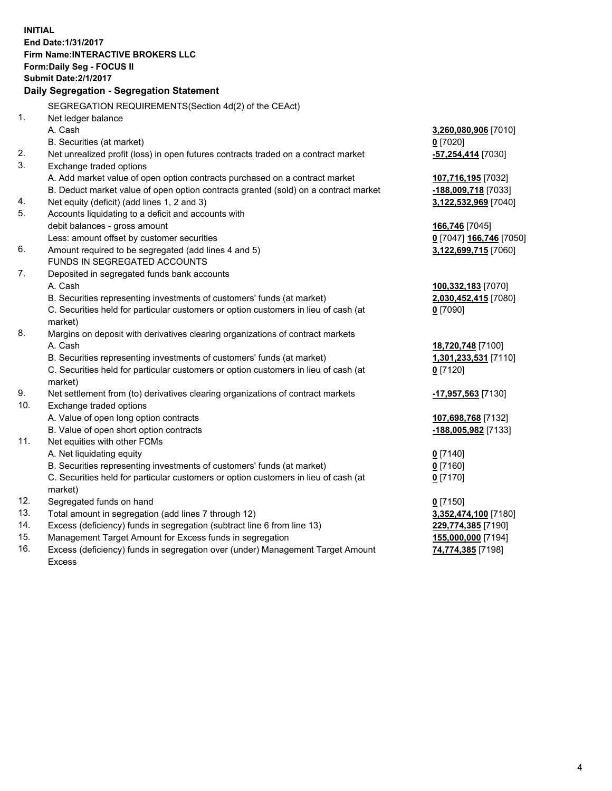**INITIAL End Date:1/31/2017 Firm Name:INTERACTIVE BROKERS LLC Form:Daily Seg - FOCUS II Submit Date:2/1/2017 Daily Segregation - Segregation Statement** SEGREGATION REQUIREMENTS(Section 4d(2) of the CEAct) 1. Net ledger balance A. Cash **3,260,080,906** [7010] B. Securities (at market) **0** [7020] 2. Net unrealized profit (loss) in open futures contracts traded on a contract market **-57,254,414** [7030] 3. Exchange traded options A. Add market value of open option contracts purchased on a contract market **107,716,195** [7032] B. Deduct market value of open option contracts granted (sold) on a contract market **-188,009,718** [7033] 4. Net equity (deficit) (add lines 1, 2 and 3) **3,122,532,969** [7040] 5. Accounts liquidating to a deficit and accounts with debit balances - gross amount **166,746** [7045] Less: amount offset by customer securities **0** [7047] **166,746** [7050] 6. Amount required to be segregated (add lines 4 and 5) **3,122,699,715** [7060] FUNDS IN SEGREGATED ACCOUNTS 7. Deposited in segregated funds bank accounts A. Cash **100,332,183** [7070] B. Securities representing investments of customers' funds (at market) **2,030,452,415** [7080] C. Securities held for particular customers or option customers in lieu of cash (at market) **0** [7090] 8. Margins on deposit with derivatives clearing organizations of contract markets A. Cash **18,720,748** [7100] B. Securities representing investments of customers' funds (at market) **1,301,233,531** [7110] C. Securities held for particular customers or option customers in lieu of cash (at market) **0** [7120] 9. Net settlement from (to) derivatives clearing organizations of contract markets **-17,957,563** [7130] 10. Exchange traded options A. Value of open long option contracts **107,698,768** [7132] B. Value of open short option contracts **-188,005,982** [7133] 11. Net equities with other FCMs A. Net liquidating equity **0** [7140] B. Securities representing investments of customers' funds (at market) **0** [7160] C. Securities held for particular customers or option customers in lieu of cash (at market) **0** [7170] 12. Segregated funds on hand **0** [7150] 13. Total amount in segregation (add lines 7 through 12) **3,352,474,100** [7180] 14. Excess (deficiency) funds in segregation (subtract line 6 from line 13) **229,774,385** [7190] 15. Management Target Amount for Excess funds in segregation **155,000,000** [7194] 16. Excess (deficiency) funds in segregation over (under) Management Target Amount **74,774,385** [7198]

Excess